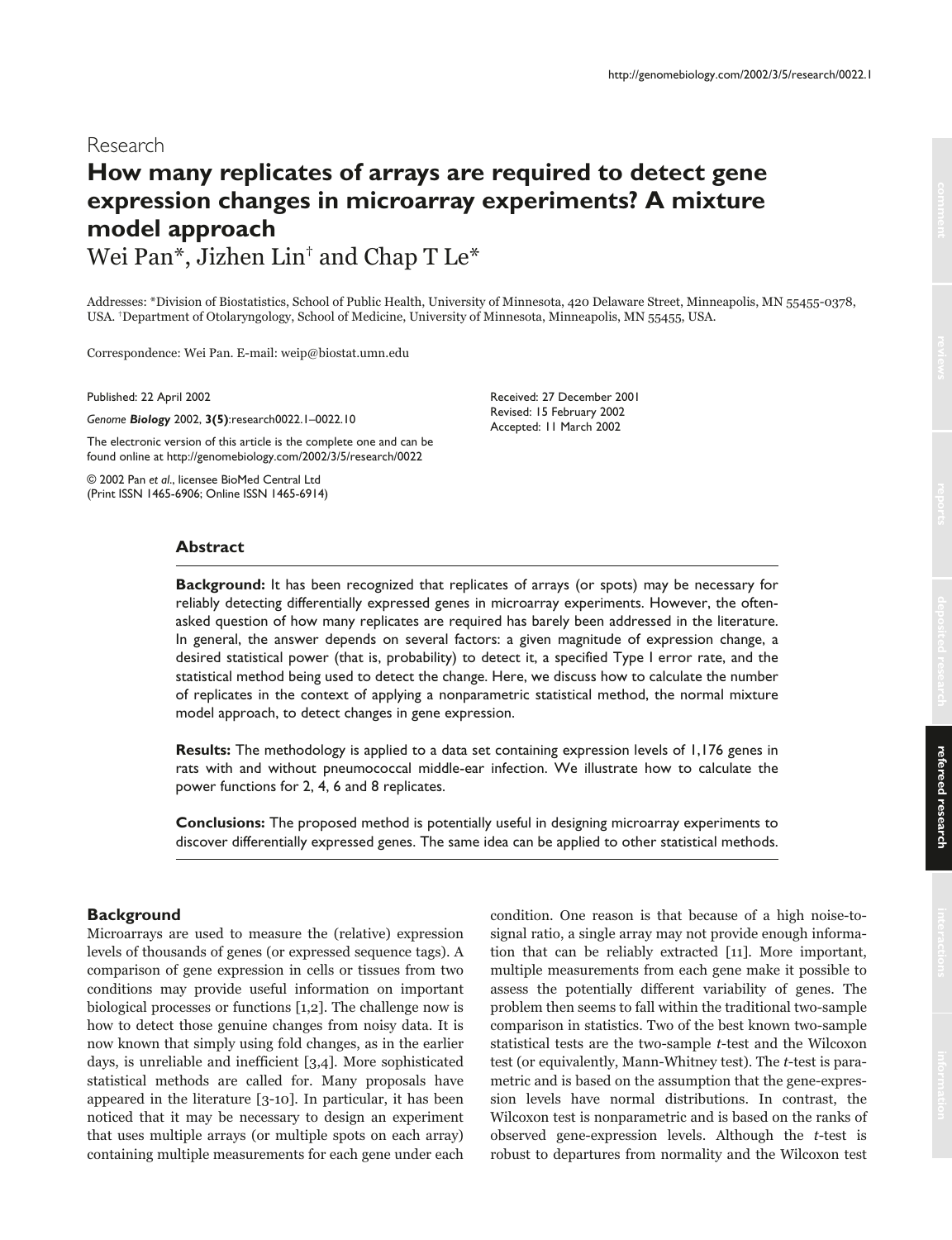# **How many replicates of arrays are required to detect gene expression changes in microarray experiments? A mixture model approach** Wei Pan\*, Jizhen Lin† and Chap T Le\*

Addresses: \*Division of Biostatistics, School of Public Health, University of Minnesota, 420 Delaware Street, Minneapolis, MN 55455-0378, USA. †Department of Otolaryngology, School of Medicine, University of Minnesota, Minneapolis, MN 55455, USA.

Correspondence: Wei Pan. E-mail: weip@biostat.umn.edu

Published: 22 April 2002

*Genome Biology* 2002, **3(5)**:research0022.1–0022.10

The electronic version of this article is the complete one and can be found online at http://genomebiology.com/2002/3/5/research/0022

© 2002 Pan *et al*., licensee BioMed Central Ltd (Print ISSN 1465-6906; Online ISSN 1465-6914) Received: 27 December 2001 Revised: 15 February 2002 Accepted: 11 March 2002

# **Abstract**

**Background:** It has been recognized that replicates of arrays (or spots) may be necessary for reliably detecting differentially expressed genes in microarray experiments. However, the oftenasked question of how many replicates are required has barely been addressed in the literature. In general, the answer depends on several factors: a given magnitude of expression change, a desired statistical power (that is, probability) to detect it, a specified Type I error rate, and the statistical method being used to detect the change. Here, we discuss how to calculate the number of replicates in the context of applying a nonparametric statistical method, the normal mixture model approach, to detect changes in gene expression.

**Results:** The methodology is applied to a data set containing expression levels of 1,176 genes in rats with and without pneumococcal middle-ear infection. We illustrate how to calculate the power functions for 2, 4, 6 and 8 replicates.

**Conclusions:** The proposed method is potentially useful in designing microarray experiments to discover differentially expressed genes. The same idea can be applied to other statistical methods.

# **Background**

Microarrays are used to measure the (relative) expression levels of thousands of genes (or expressed sequence tags). A comparison of gene expression in cells or tissues from two conditions may provide useful information on important biological processes or functions [1,2]. The challenge now is how to detect those genuine changes from noisy data. It is now known that simply using fold changes, as in the earlier days, is unreliable and inefficient [3,4]. More sophisticated statistical methods are called for. Many proposals have appeared in the literature [3-10]. In particular, it has been noticed that it may be necessary to design an experiment that uses multiple arrays (or multiple spots on each array) containing multiple measurements for each gene under each

condition. One reason is that because of a high noise-tosignal ratio, a single array may not provide enough information that can be reliably extracted [11]. More important, multiple measurements from each gene make it possible to assess the potentially different variability of genes. The problem then seems to fall within the traditional two-sample comparison in statistics. Two of the best known two-sample statistical tests are the two-sample t-test and the Wilcoxon test (or equivalently, Mann-Whitney test). The t-test is parametric and is based on the assumption that the gene-expression levels have normal distributions. In contrast, the Wilcoxon test is nonparametric and is based on the ranks of observed gene-expression levels. Although the t-test is robust to departures from normality and the Wilcoxon test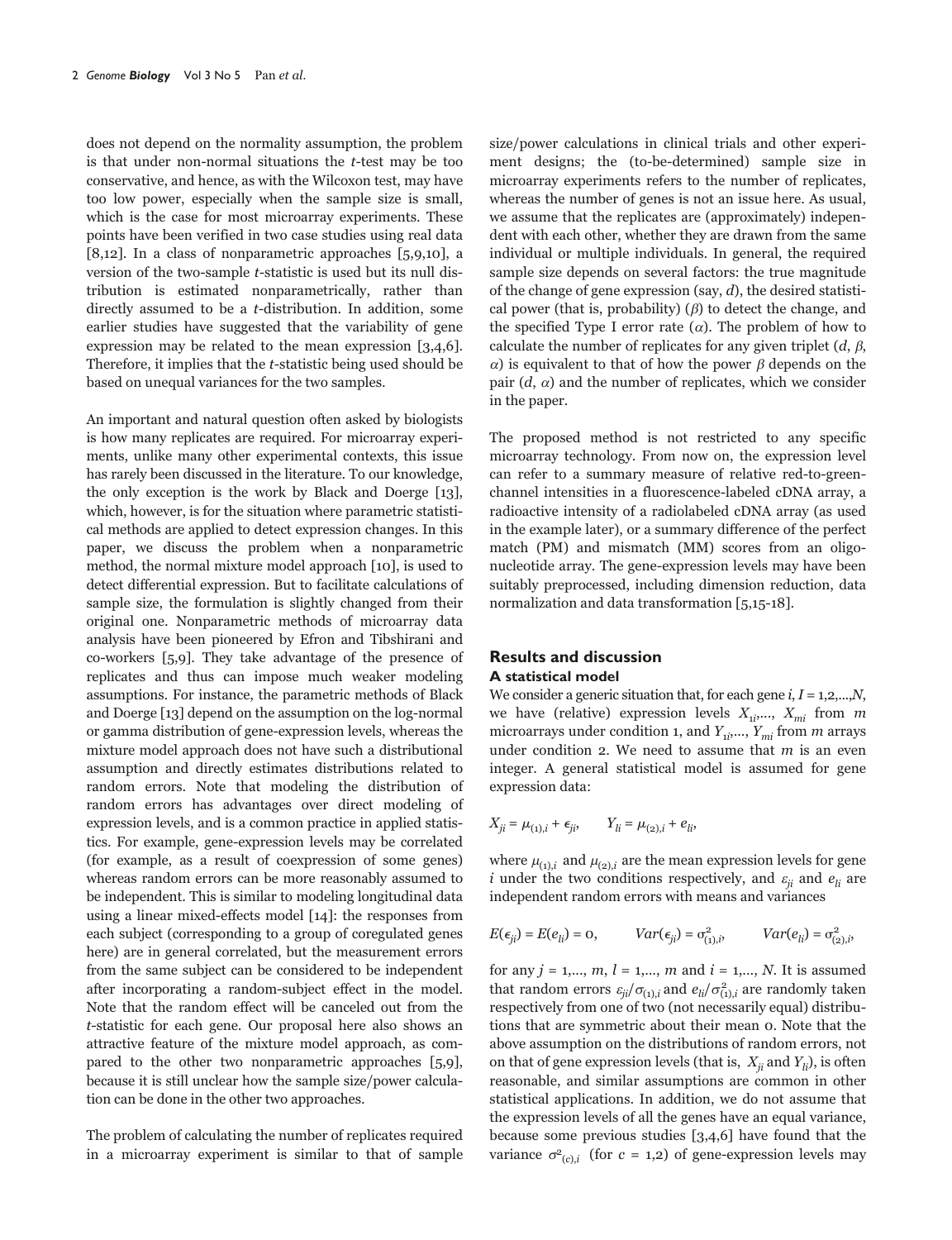does not depend on the normality assumption, the problem is that under non-normal situations the t-test may be too conservative, and hence, as with the Wilcoxon test, may have too low power, especially when the sample size is small, which is the case for most microarray experiments. These points have been verified in two case studies using real data [8,12]. In a class of nonparametric approaches [5,9,10], a version of the two-sample t-statistic is used but its null distribution is estimated nonparametrically, rather than directly assumed to be a t-distribution. In addition, some earlier studies have suggested that the variability of gene expression may be related to the mean expression [3,4,6]. Therefore, it implies that the t-statistic being used should be based on unequal variances for the two samples.

An important and natural question often asked by biologists is how many replicates are required. For microarray experiments, unlike many other experimental contexts, this issue has rarely been discussed in the literature. To our knowledge, the only exception is the work by Black and Doerge [13], which, however, is for the situation where parametric statistical methods are applied to detect expression changes. In this paper, we discuss the problem when a nonparametric method, the normal mixture model approach [10], is used to detect differential expression. But to facilitate calculations of sample size, the formulation is slightly changed from their original one. Nonparametric methods of microarray data analysis have been pioneered by Efron and Tibshirani and co-workers [5,9]. They take advantage of the presence of replicates and thus can impose much weaker modeling assumptions. For instance, the parametric methods of Black and Doerge [13] depend on the assumption on the log-normal or gamma distribution of gene-expression levels, whereas the mixture model approach does not have such a distributional assumption and directly estimates distributions related to random errors. Note that modeling the distribution of random errors has advantages over direct modeling of expression levels, and is a common practice in applied statistics. For example, gene-expression levels may be correlated (for example, as a result of coexpression of some genes) whereas random errors can be more reasonably assumed to be independent. This is similar to modeling longitudinal data using a linear mixed-effects model [14]: the responses from each subject (corresponding to a group of coregulated genes here) are in general correlated, but the measurement errors from the same subject can be considered to be independent after incorporating a random-subject effect in the model. Note that the random effect will be canceled out from the t-statistic for each gene. Our proposal here also shows an attractive feature of the mixture model approach, as compared to the other two nonparametric approaches [5,9], because it is still unclear how the sample size/power calculation can be done in the other two approaches.

The problem of calculating the number of replicates required in a microarray experiment is similar to that of sample size/power calculations in clinical trials and other experiment designs; the (to-be-determined) sample size in microarray experiments refers to the number of replicates, whereas the number of genes is not an issue here. As usual, we assume that the replicates are (approximately) independent with each other, whether they are drawn from the same individual or multiple individuals. In general, the required sample size depends on several factors: the true magnitude of the change of gene expression (say,  $d$ ), the desired statistical power (that is, probability)  $(\beta)$  to detect the change, and the specified Type I error rate  $(\alpha)$ . The problem of how to calculate the number of replicates for any given triplet  $(d, \beta, \beta)$  $\alpha$ ) is equivalent to that of how the power  $\beta$  depends on the pair  $(d, \alpha)$  and the number of replicates, which we consider in the paper.

The proposed method is not restricted to any specific microarray technology. From now on, the expression level can refer to a summary measure of relative red-to-greenchannel intensities in a fluorescence-labeled cDNA array, a radioactive intensity of a radiolabeled cDNA array (as used in the example later), or a summary difference of the perfect match (PM) and mismatch (MM) scores from an oligonucleotide array. The gene-expression levels may have been suitably preprocessed, including dimension reduction, data normalization and data transformation [5,15-18].

# **Results and discussion A statistical model**

We consider a generic situation that, for each gene  $i, I = 1, 2, \ldots, N$ , we have (relative) expression levels  $X_{1i},..., X_{mi}$  from  $m$ microarrays under condition 1, and  $Y_{1i},...,Y_{mi}$  from  $m$  arrays under condition 2. We need to assume that  $m$  is an even integer. A general statistical model is assumed for gene expression data:

$$
X_{ji} = \mu_{(1),i} + \epsilon_{ji}, \qquad Y_{li} = \mu_{(2),i} + e_{li},
$$

where  $\mu_{(1),i}$  and  $\mu_{(2),i}$  are the mean expression levels for gene i under the two conditions respectively, and  $\varepsilon_{ii}$  and  $e_{li}$  are independent random errors with means and variances

$$
E(\epsilon_{ji}) = E(e_{li}) = 0, \qquad Var(\epsilon_{ji}) = \sigma_{(1),i}^2, \qquad Var(e_{li}) = \sigma_{(2),i}^2,
$$

for any  $j = 1, ..., m, l = 1, ..., m$  and  $i = 1, ..., N$ . It is assumed that random errors  $\varepsilon_{ji}/\sigma_{(1),i}$  and  $e_{li}/\sigma_{(1),i}^2$  are randomly taken respectively from one of two (not necessarily equal) distributions that are symmetric about their mean 0. Note that the above assumption on the distributions of random errors, not on that of gene expression levels (that is,  $X_{ii}$  and  $Y_{ii}$ ), is often reasonable, and similar assumptions are common in other statistical applications. In addition, we do not assume that the expression levels of all the genes have an equal variance, because some previous studies [3,4,6] have found that the variance  $\sigma^2_{(c),i}$  (for  $c = 1,2$ ) of gene-expression levels may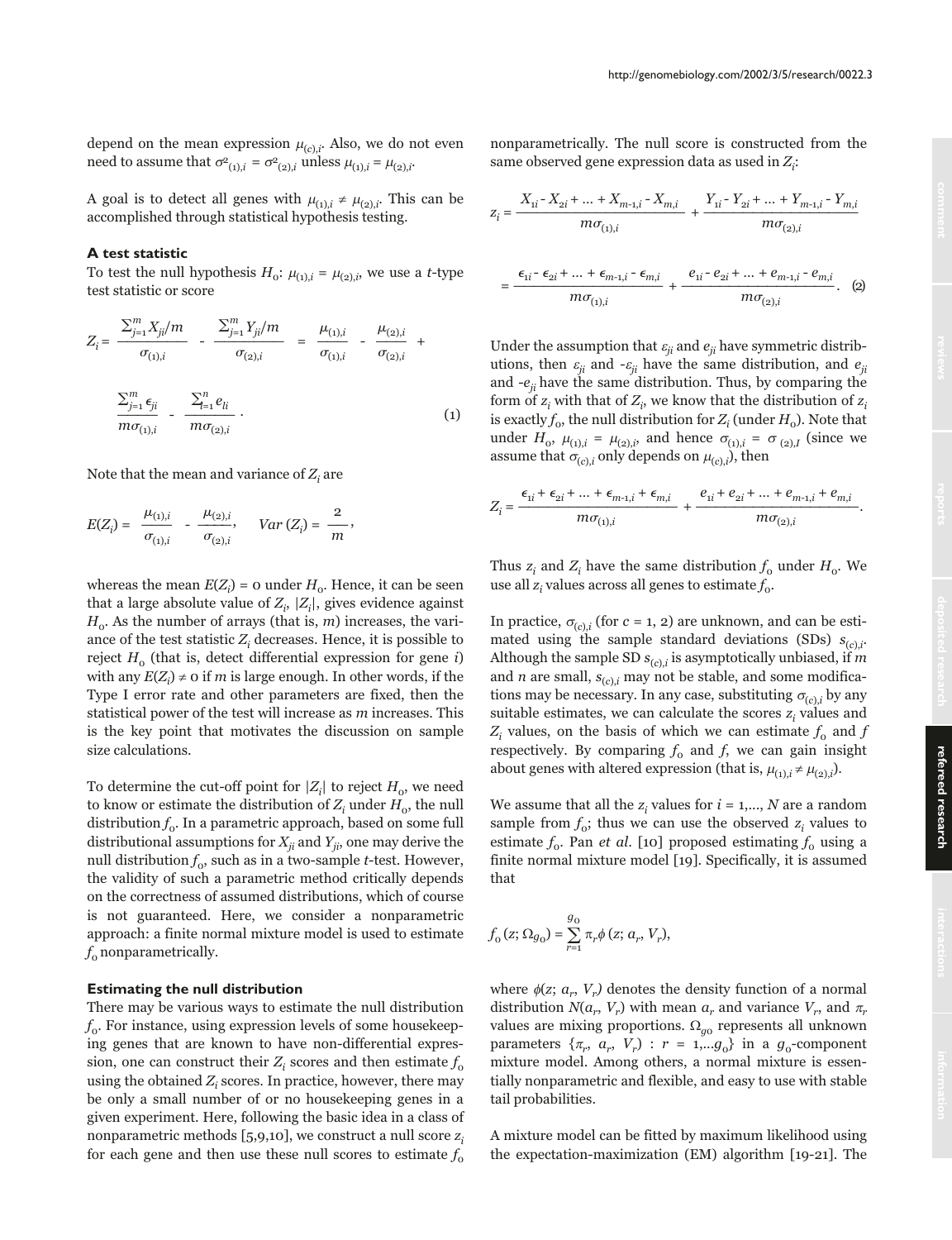depend on the mean expression  $\mu_{(c),i}$ . Also, we do not even need to assume that  $\sigma_{(1),i}^2 = \sigma_{(2),i}^2$  unless  $\mu_{(1),i} = \mu_{(2),i}$ .

A goal is to detect all genes with  $\mu_{(1),i} \neq \mu_{(2),i}$ . This can be accomplished through statistical hypothesis testing.

## **A test statistic**

To test the null hypothesis  $H_0$ :  $\mu_{(1),i} = \mu_{(2),i}$ , we use a *t*-type test statistic or score

$$
Z_{i} = \frac{\sum_{j=1}^{m} X_{ji}/m}{\sigma_{(1),i}} - \frac{\sum_{j=1}^{m} Y_{ji}/m}{\sigma_{(2),i}} = \frac{\mu_{(1),i}}{\sigma_{(1),i}} - \frac{\mu_{(2),i}}{\sigma_{(2),i}} + \frac{\sum_{j=1}^{m} \epsilon_{ji}}{m \sigma_{(1),i}} - \frac{\sum_{l=1}^{n} e_{li}}{m \sigma_{(2),i}} \tag{1}
$$

Note that the mean and variance of  $Z_i$  are

$$
E(Z_i) = \frac{\mu_{(1),i}}{\sigma_{(1),i}} - \frac{\mu_{(2),i}}{\sigma_{(2),i}}, \quad Var(Z_i) = \frac{2}{m},
$$

whereas the mean  $E(Z_i)$  = 0 under  $H_o$ . Hence, it can be seen that a large absolute value of  $Z_i$ ,  $|Z_i|$ , gives evidence against  $H_0$ . As the number of arrays (that is, *m*) increases, the variance of the test statistic  $Z_i$  decreases. Hence, it is possible to reject  $H_0$  (that is, detect differential expression for gene i) with any  $E(Z_i) \neq 0$  if  $m$  is large enough. In other words, if the Type I error rate and other parameters are fixed, then the statistical power of the test will increase as  $m$  increases. This is the key point that motivates the discussion on sample size calculations.

To determine the cut-off point for  $|Z_i|$  to reject  $H_o$ , we need to know or estimate the distribution of  $Z_i$  under  $H_0$ , the null distribution  $f_{0}$ . In a parametric approach, based on some full distributional assumptions for  $X_{ji}$  and  $Y_{ji}$  one may derive the null distribution  $f_0$ , such as in a two-sample *t*-test. However, the validity of such a parametric method critically depends on the correctness of assumed distributions, which of course is not guaranteed. Here, we consider a nonparametric approach: a finite normal mixture model is used to estimate  $f_0$  nonparametrically.

# **Estimating the null distribution**

There may be various ways to estimate the null distribution  $f<sub>0</sub>$ . For instance, using expression levels of some housekeeping genes that are known to have non-differential expression, one can construct their  $Z_i$  scores and then estimate  $f_0$ using the obtained  $Z_i$  scores. In practice, however, there may be only a small number of or no housekeeping genes in a given experiment. Here, following the basic idea in a class of nonparametric methods  $[5,9,10]$ , we construct a null score  $z_i$ for each gene and then use these null scores to estimate  $f_0$  nonparametrically. The null score is constructed from the same observed gene expression data as used in  $Z_i$ :

$$
Z_i = \frac{X_{1i} - X_{2i} + \dots + X_{m-1,i} - X_{m,i}}{m\sigma_{(1),i}} + \frac{Y_{1i} - Y_{2i} + \dots + Y_{m-1,i} - Y_{m,i}}{m\sigma_{(2),i}}
$$

$$
= \frac{\epsilon_{1i} - \epsilon_{2i} + \dots + \epsilon_{m-1,i} - \epsilon_{m,i}}{m \sigma_{(1),i}} + \frac{e_{1i} - e_{2i} + \dots + e_{m-1,i} - e_{m,i}}{m \sigma_{(2),i}}.
$$
 (2)

Under the assumption that  $\varepsilon_{ii}$  and  $e_{ii}$  have symmetric distributions, then  $\varepsilon_{ii}$  and - $\varepsilon_{ii}$  have the same distribution, and  $e_{ii}$ and  $-e_{ii}$  have the same distribution. Thus, by comparing the form of  $z_i$  with that of  $Z_i$ , we know that the distribution of  $z_i$ is exactly  $f_0$ , the null distribution for  $Z_i$  (under  $H_0$ ). Note that under  $H_0$ ,  $\mu_{(1),i} = \mu_{(2),i}$ , and hence  $\sigma_{(1),i} = \sigma_{(2),i}$  (since we assume that  $\sigma_{(c),i}$  only depends on  $\mu_{(c),i}$ ), then

$$
Z_i = \frac{\epsilon_{1i} + \epsilon_{2i} + \dots + \epsilon_{m-1,i} + \epsilon_{m,i}}{m\sigma_{(1),i}} + \frac{e_{1i} + e_{2i} + \dots + e_{m-1,i} + e_{m,i}}{m\sigma_{(2),i}}.
$$

Thus  $z_i$  and  $Z_i$  have the same distribution  $f_0$  under  $H_0$ . We use all  $z_i$  values across all genes to estimate  $f_0$ .

In practice,  $\sigma_{(c)}$  (for c = 1, 2) are unknown, and can be estimated using the sample standard deviations (SDs)  $s_{(c),i}$ . Although the sample SD  $s_{(c),i}$  is asymptotically unbiased, if m and *n* are small,  $s_{(c),i}$  may not be stable, and some modifications may be necessary. In any case, substituting  $\sigma_{(c),i}$  by any suitable estimates, we can calculate the scores  $z_i$  values and  $Z_i$  values, on the basis of which we can estimate  $f_0$  and f respectively. By comparing  $f_0$  and f, we can gain insight about genes with altered expression (that is,  $\mu_{(1),i} \neq \mu_{(2),i}$ ).

We assume that all the z, values for  $i = 1, ..., N$  are a random sample from  $f_0$ ; thus we can use the observed  $z_i$  values to estimate  $f_0$ . Pan *et al.* [10] proposed estimating  $f_0$  using a finite normal mixture model [19]. Specifically, it is assumed that

$$
f_{0}(z; \Omega_{g_{0}}) = \sum_{r=1}^{g_{0}} \pi_{r} \phi(z; a_{r}, V_{r}),
$$

where  $\phi(z; a_{n}, V_{n})$  denotes the density function of a normal distribution  $N(a_r, V_r)$  with mean  $a_r$  and variance  $V_r$ , and  $\pi_r$ values are mixing proportions.  $\Omega_{q0}$  represents all unknown parameters  $\{\pi_r, a_r, V_r\}$ :  $r = 1,...g_0$  in a  $g_0$ -component mixture model. Among others, a normal mixture is essentially nonparametric and flexible, and easy to use with stable tail probabilities.

A mixture model can be fitted by maximum likelihood using the expectation-maximization (EM) algorithm [19-21]. The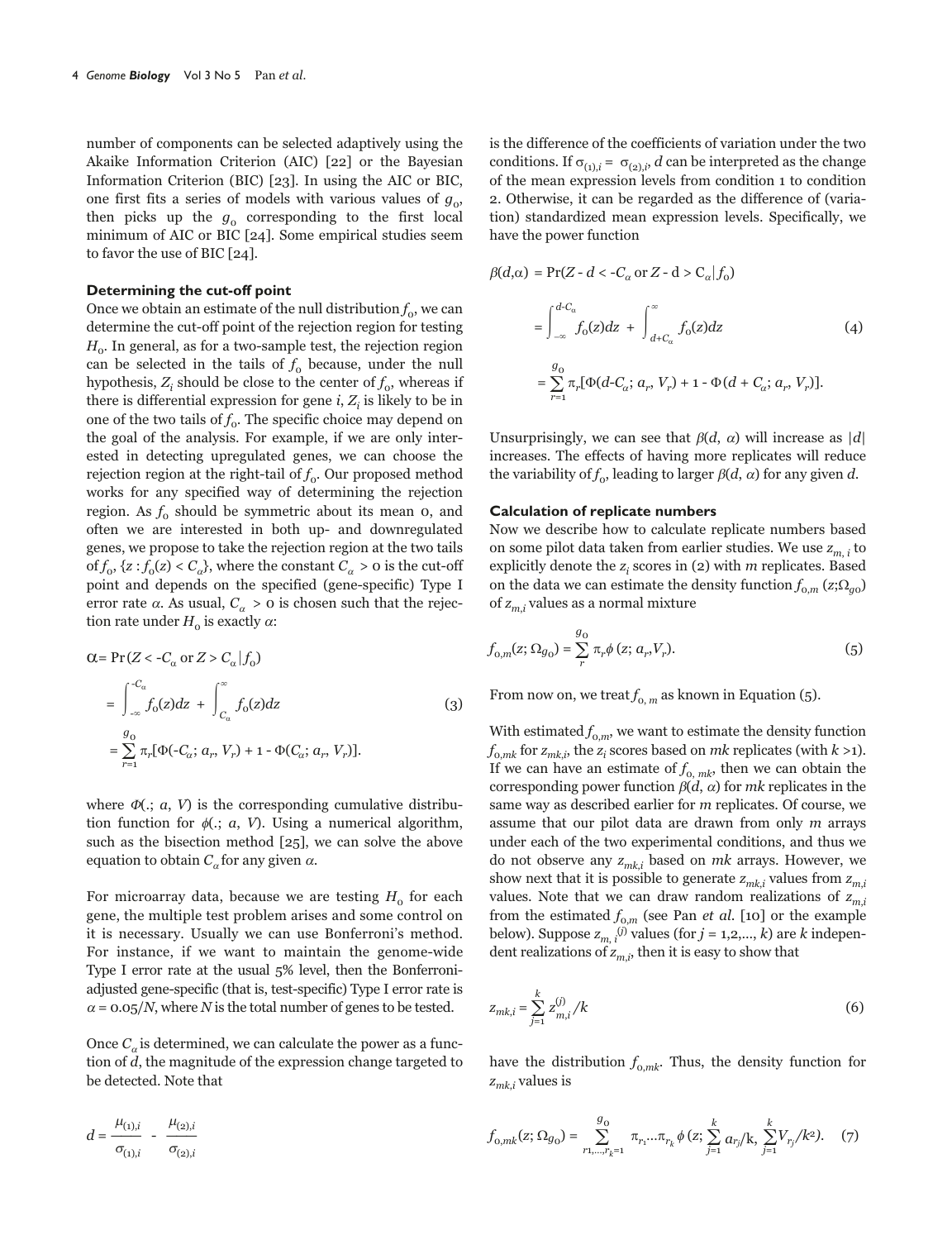number of components can be selected adaptively using the Akaike Information Criterion (AIC) [22] or the Bayesian Information Criterion (BIC) [23]. In using the AIC or BIC, one first fits a series of models with various values of  $g_0$ , then picks up the  $g_0$  corresponding to the first local minimum of AIC or BIC [24]. Some empirical studies seem to favor the use of BIC [24].

## **Determining the cut-off point**

Once we obtain an estimate of the null distribution  $f_0$ , we can determine the cut-off point of the rejection region for testing  $H<sub>o</sub>$ . In general, as for a two-sample test, the rejection region can be selected in the tails of  $f_0$  because, under the null hypothesis,  $Z_i$  should be close to the center of  $f_0$ , whereas if there is differential expression for gene  $i, Z_i$  is likely to be in one of the two tails of  $f_0$ . The specific choice may depend on the goal of the analysis. For example, if we are only interested in detecting upregulated genes, we can choose the rejection region at the right-tail of  $f_0$ . Our proposed method works for any specified way of determining the rejection region. As  $f_0$  should be symmetric about its mean 0, and often we are interested in both up- and downregulated genes, we propose to take the rejection region at the two tails of  $f_0$ ,  $\{z : f_0(z) < C_\alpha\}$ , where the constant  $C_\alpha > 0$  is the cut-off point and depends on the specified (gene-specific) Type I error rate  $\alpha$ . As usual,  $C_{\alpha} > 0$  is chosen such that the rejection rate under  $H_0$  is exactly  $\alpha$ :

$$
\alpha = \Pr(Z < -C_{\alpha} \text{ or } Z > C_{\alpha} | f_0)
$$
\n
$$
= \int_{-\infty}^{-C_{\alpha}} f_0(z) dz + \int_{C_{\alpha}}^{\infty} f_0(z) dz \tag{3}
$$
\n
$$
= \sum_{r=1}^{g_0} \pi_r [\Phi(-C_{\alpha}; a_r, V_r) + 1 - \Phi(C_{\alpha}; a_r, V_r)].
$$

where  $\Phi(z; a, V)$  is the corresponding cumulative distribution function for  $\phi(.)$ ; a, V). Using a numerical algorithm, such as the bisection method [25], we can solve the above equation to obtain  $C_\alpha$  for any given  $\alpha$ .

For microarray data, because we are testing  $H_0$  for each gene, the multiple test problem arises and some control on it is necessary. Usually we can use Bonferroni's method. For instance, if we want to maintain the genome-wide Type I error rate at the usual 5% level, then the Bonferroniadjusted gene-specific (that is, test-specific) Type I error rate is  $\alpha$  = 0.05/N, where N is the total number of genes to be tested.

Once  $C_{\alpha}$  is determined, we can calculate the power as a function of d, the magnitude of the expression change targeted to be detected. Note that

$$
d = \frac{\mu_{(1),i}}{\sigma_{(1),i}} - \frac{\mu_{(2),i}}{\sigma_{(2),i}}
$$

is the difference of the coefficients of variation under the two conditions. If  $\sigma_{(1),i} = \sigma_{(2),i}$ , d can be interpreted as the change of the mean expression levels from condition 1 to condition 2. Otherwise, it can be regarded as the difference of (variation) standardized mean expression levels. Specifically, we have the power function

$$
\beta(d,\alpha) = \Pr(Z - d < -C_{\alpha} \text{ or } Z - d > C_{\alpha} | f_0)
$$
\n
$$
= \int_{-\infty}^{d-C_{\alpha}} f_0(z) dz + \int_{d+C_{\alpha}}^{\infty} f_0(z) dz \tag{4}
$$
\n
$$
= \sum_{r=1}^{g_0} \pi_r [\Phi(d-C_{\alpha}; a_r, V_r) + 1 - \Phi(d + C_{\alpha}; a_r, V_r)].
$$

Unsurprisingly, we can see that  $\beta(d, \alpha)$  will increase as  $|d|$ increases. The effects of having more replicates will reduce the variability of  $f_o$ , leading to larger  $\beta(d, \alpha)$  for any given d.

#### **Calculation of replicate numbers**

Now we describe how to calculate replicate numbers based on some pilot data taken from earlier studies. We use  $z_{m,i}$  to explicitly denote the  $z_i$  scores in (2) with  $m$  replicates. Based on the data we can estimate the density function  $f_{0,m}(z;\Omega_{q0})$ of  $z_{m,i}$  values as a normal mixture

$$
f_{0,m}(z; \Omega_{g_0}) = \sum_{r}^{g_0} \pi_r \phi(z; a_r, V_r).
$$
 (5)

From now on, we treat  $f_{0,m}$  as known in Equation (5).

With estimated  $f_{0,m}$ , we want to estimate the density function  $f_{\mathrm{o},mk}$  for  $z_{mk,i}$ , the  $z_i$  scores based on  $mk$  replicates (with  $k$  >1). If we can have an estimate of  $f_{0, mk}$ , then we can obtain the corresponding power function  $\beta(d, \alpha)$  for mk replicates in the same way as described earlier for m replicates. Of course, we assume that our pilot data are drawn from only  $m$  arrays under each of the two experimental conditions, and thus we do not observe any  $z_{mk,i}$  based on mk arrays. However, we show next that it is possible to generate  $z_{mk,i}$  values from  $z_{mi}$ values. Note that we can draw random realizations of  $z_{m,i}$ from the estimated  $f_{0,m}$  (see Pan *et al.* [10] or the example below). Suppose  $z_{m,i}^{(j)}$  values (for  $j = 1, 2, ..., k$ ) are k independent realizations of  $z_{m,i}$ , then it is easy to show that

$$
z_{mk,i} = \sum_{j=1}^{k} z_{m,i}^{(j)}/k
$$
 (6)

have the distribution  $f_{0,mk}$ . Thus, the density function for  $z_{mk,i}$  values is

$$
f_{0,mk}(z;\Omega_{g_0}) = \sum_{r_1,\dots,r_k=1}^{g_0} \pi_{r_1}...\pi_{r_k} \phi(z; \sum_{j=1}^k a_{r_j}/k, \sum_{j=1}^k V_{r_j}/k^2). \quad (7)
$$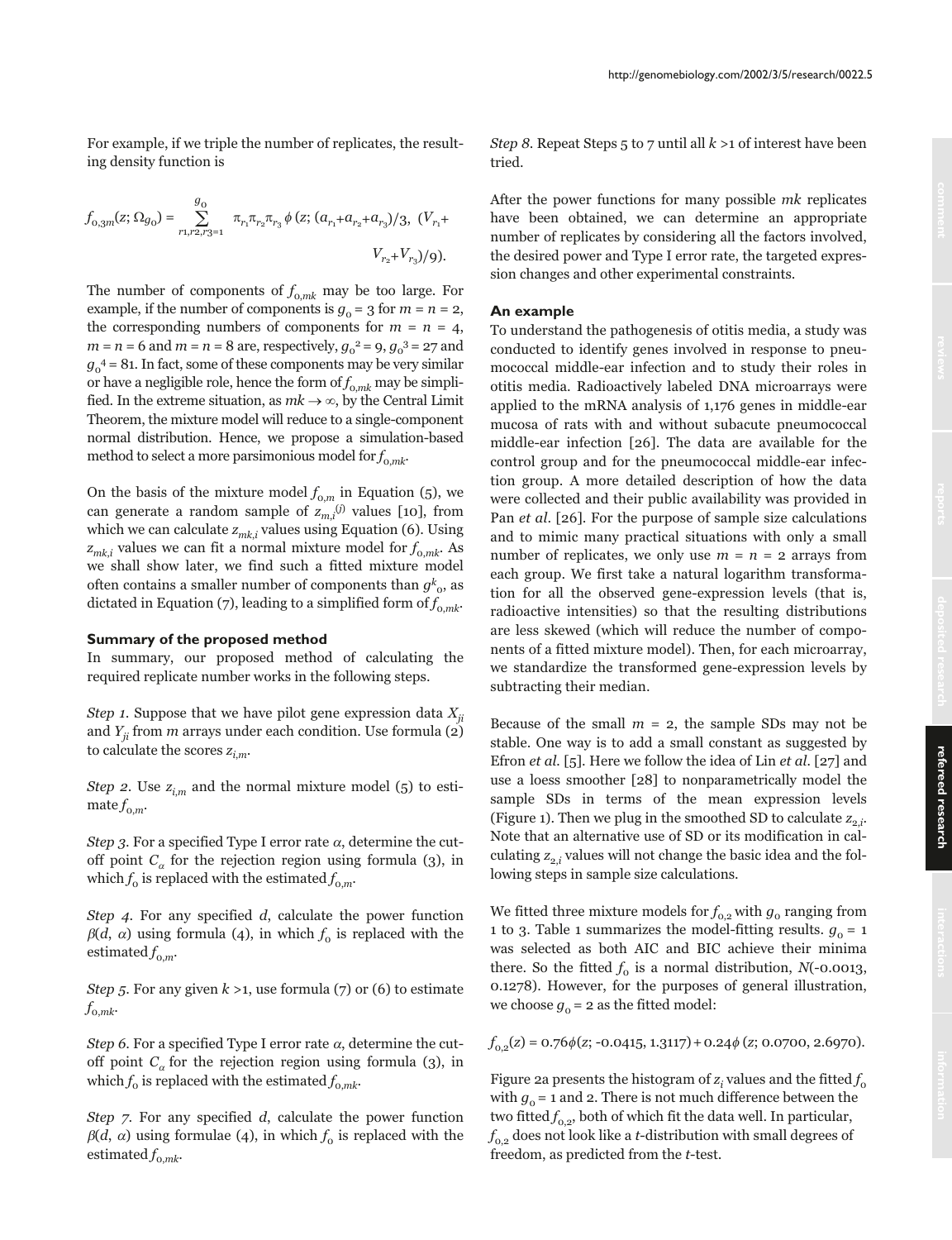For example, if we triple the number of replicates, the resulting density function is

$$
f_{0,3m}(z;\Omega_{g_0}) = \sum_{r_1,r_2,r_3=1}^{g_0} \pi_{r_1} \pi_{r_2} \pi_{r_3} \phi(z; (a_{r_1} + a_{r_2} + a_{r_3})/3, (V_{r_1} + V_{r_2} + V_{r_3})/9).
$$

The number of components of  $f_{0,mk}$  may be too large. For example, if the number of components is  $g_0 = 3$  for  $m = n = 2$ , the corresponding numbers of components for  $m = n = 4$ ,  $m = n = 6$  and  $m = n = 8$  are, respectively,  $g_0^2 = 9$ ,  $g_0^3 = 27$  and  $g_0^4$  = 81. In fact, some of these components may be very similar or have a negligible role, hence the form of  $f_{0,mk}$  may be simplified. In the extreme situation, as  $mk \rightarrow \infty$ , by the Central Limit Theorem, the mixture model will reduce to a single-component normal distribution. Hence, we propose a simulation-based method to select a more parsimonious model for  $f_{0,mk}$ .

On the basis of the mixture model  $f_{0,m}$  in Equation (5), we can generate a random sample of  $z_{m,i}^{(j)}$  values [10], from which we can calculate  $z_{mk,i}$  values using Equation (6). Using  $z_{mk}$  values we can fit a normal mixture model for  $f_{0,mk}$ . As we shall show later, we find such a fitted mixture model often contains a smaller number of components than  $g_{\alpha}^k$ , as dictated in Equation (7), leading to a simplified form of  $f_{0,mk}$ .

#### **Summary of the proposed method**

In summary, our proposed method of calculating the required replicate number works in the following steps.

Step 1. Suppose that we have pilot gene expression data  $X_{ii}$ and  $Y_{ii}$  from m arrays under each condition. Use formula (2) to calculate the scores  $z_{i,m}$ .

Step 2. Use  $z_{i,m}$  and the normal mixture model (5) to estimate  $f_{0,m}$ .

*Step 3*. For a specified Type I error rate  $\alpha$ , determine the cutoff point  $C_{\alpha}$  for the rejection region using formula (3), in which  $f_0$  is replaced with the estimated  $f_{0,m}$ .

Step 4. For any specified d, calculate the power function  $\beta(d, \alpha)$  using formula (4), in which  $f_0$  is replaced with the estimated  $f_{0,m}$ .

Step 5. For any given  $k > 1$ , use formula (7) or (6) to estimate  $f_{0,mk}$ .

*Step 6.* For a specified Type I error rate  $\alpha$ , determine the cutoff point  $C_{\alpha}$  for the rejection region using formula (3), in which  $f_0$  is replaced with the estimated  $f_{0,mk}$ .

Step 7. For any specified d, calculate the power function  $\beta(d, \alpha)$  using formulae (4), in which  $f_0$  is replaced with the estimated  $f_{0,mk}$ .

*Step 8.* Repeat Steps 5 to 7 until all  $k > 1$  of interest have been tried.

After the power functions for many possible mk replicates have been obtained, we can determine an appropriate number of replicates by considering all the factors involved, the desired power and Type I error rate, the targeted expression changes and other experimental constraints.

## **An example**

To understand the pathogenesis of otitis media, a study was conducted to identify genes involved in response to pneumococcal middle-ear infection and to study their roles in otitis media. Radioactively labeled DNA microarrays were applied to the mRNA analysis of 1,176 genes in middle-ear mucosa of rats with and without subacute pneumococcal middle-ear infection [26]. The data are available for the control group and for the pneumococcal middle-ear infection group. A more detailed description of how the data were collected and their public availability was provided in Pan et al. [26]. For the purpose of sample size calculations and to mimic many practical situations with only a small number of replicates, we only use  $m = n = 2$  arrays from each group. We first take a natural logarithm transformation for all the observed gene-expression levels (that is, radioactive intensities) so that the resulting distributions are less skewed (which will reduce the number of components of a fitted mixture model). Then, for each microarray, we standardize the transformed gene-expression levels by subtracting their median.

Because of the small  $m = 2$ , the sample SDs may not be stable. One way is to add a small constant as suggested by Efron et al. [5]. Here we follow the idea of Lin et al. [27] and use a loess smoother [28] to nonparametrically model the sample SDs in terms of the mean expression levels (Figure 1). Then we plug in the smoothed SD to calculate  $z_{2,i}$ . Note that an alternative use of SD or its modification in calculating  $z_{2,i}$  values will not change the basic idea and the following steps in sample size calculations.

We fitted three mixture models for  $f_{0,2}$  with  $g_0$  ranging from 1 to 3. Table 1 summarizes the model-fitting results.  $g_0 = 1$ was selected as both AIC and BIC achieve their minima there. So the fitted  $f_0$  is a normal distribution,  $N(-0.0013,$ 0.1278). However, for the purposes of general illustration, we choose  $g_0 = 2$  as the fitted model:

 $f_{0,2}(z) = 0.76\phi(z; -0.0415, 1.3117) + 0.24\phi(z; 0.0700, 2.6970).$ 

Figure 2a presents the histogram of  $z_i$  values and the fitted  $f_0$ with  $g_0 = 1$  and 2. There is not much difference between the two fitted  $f_{0,2}$ , both of which fit the data well. In particular,  $f_{0,2}$  does not look like a *t*-distribution with small degrees of freedom, as predicted from the t-test.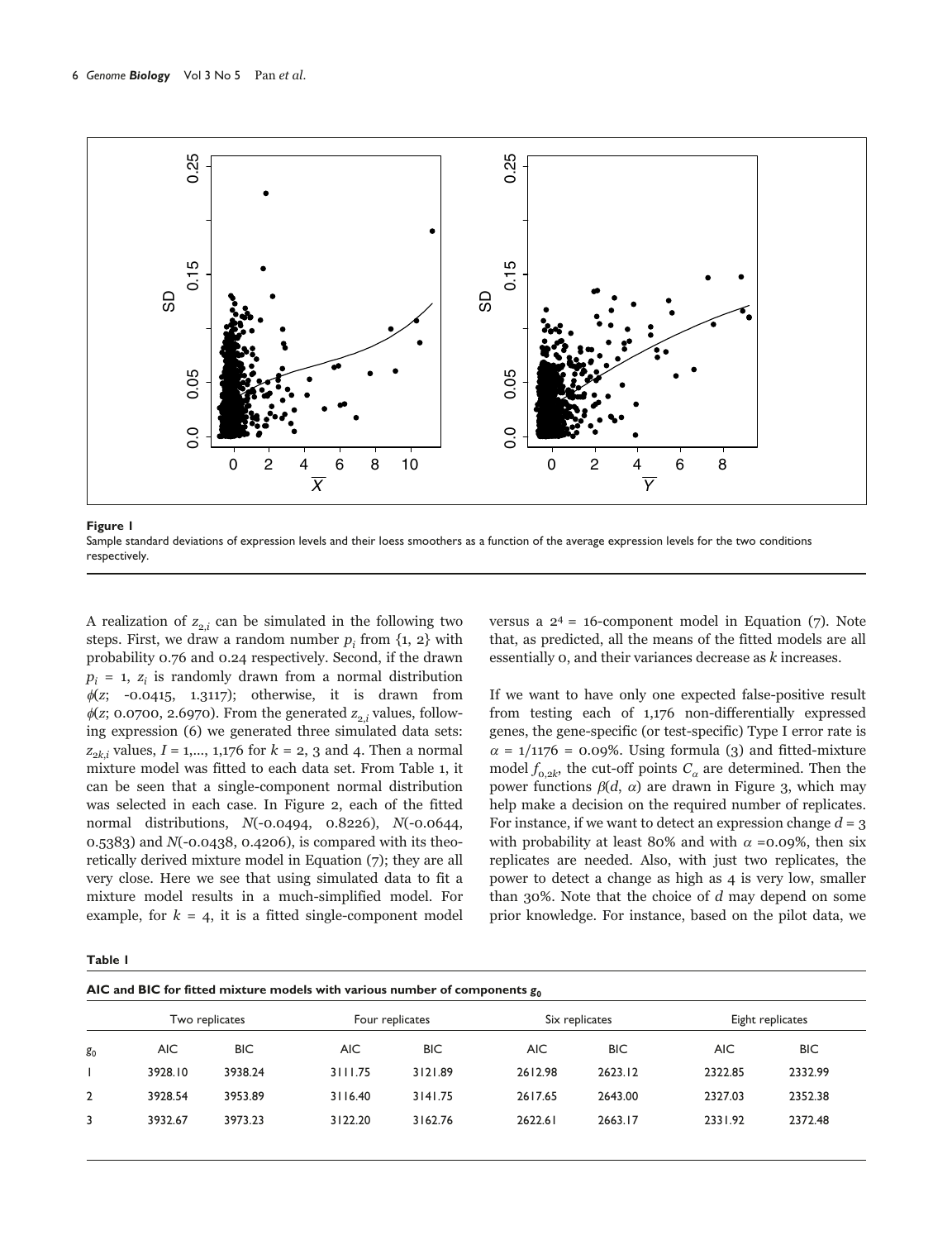

Sample standard deviations of expression levels and their loess smoothers as a function of the average expression levels for the two conditions respectively.

A realization of  $z_{2i}$  can be simulated in the following two steps. First, we draw a random number  $p_i$  from  $\{1, 2\}$  with probability 0.76 and 0.24 respectively. Second, if the drawn  $p_i = 1$ ,  $z_i$  is randomly drawn from a normal distribution  $\phi(z; -0.0415, 1.3117);$  otherwise, it is drawn from  $\phi$ (z; 0.0700, 2.6970). From the generated  $z_2$ , values, following expression (6) we generated three simulated data sets:  $z_{2k,i}$  values,  $I = 1,..., 1,176$  for  $k = 2, 3$  and 4. Then a normal mixture model was fitted to each data set. From Table 1, it can be seen that a single-component normal distribution was selected in each case. In Figure 2, each of the fitted normal distributions, N(-0.0494, 0.8226), N(-0.0644, 0.5383) and N(-0.0438, 0.4206), is compared with its theoretically derived mixture model in Equation (7); they are all very close. Here we see that using simulated data to fit a mixture model results in a much-simplified model. For example, for  $k = 4$ , it is a fitted single-component model versus a  $2^4$  = 16-component model in Equation (7). Note that, as predicted, all the means of the fitted models are all essentially 0, and their variances decrease as k increases.

If we want to have only one expected false-positive result from testing each of 1,176 non-differentially expressed genes, the gene-specific (or test-specific) Type I error rate is  $\alpha$  = 1/1176 = 0.09%. Using formula (3) and fitted-mixture model  $f_{0,2k}$ , the cut-off points  $C_{\alpha}$  are determined. Then the power functions  $\beta(d, \alpha)$  are drawn in Figure 3, which may help make a decision on the required number of replicates. For instance, if we want to detect an expression change  $d = 3$ with probability at least 80% and with  $\alpha$  =0.09%, then six replicates are needed. Also, with just two replicates, the power to detect a change as high as 4 is very low, smaller than  $30\%$ . Note that the choice of d may depend on some prior knowledge. For instance, based on the pilot data, we

| $\sim$<br>. . |  |
|---------------|--|
|---------------|--|

|                | ັ              |            |                 |            |                |            |                  |         |  |
|----------------|----------------|------------|-----------------|------------|----------------|------------|------------------|---------|--|
|                | Two replicates |            | Four replicates |            | Six replicates |            | Eight replicates |         |  |
| g <sub>0</sub> | <b>AIC</b>     | <b>BIC</b> | <b>AIC</b>      | <b>BIC</b> | AIC            | <b>BIC</b> | <b>AIC</b>       | BIC.    |  |
|                | 3928.10        | 3938.24    | 3111.75         | 3121.89    | 2612.98        | 2623.12    | 2322.85          | 2332.99 |  |
| $\overline{2}$ | 3928.54        | 3953.89    | 3116.40         | 3141.75    | 2617.65        | 2643.00    | 2327.03          | 2352.38 |  |
|                | 3932.67        | 3973.23    | 3122.20         | 3162.76    | 2622.61        | 2663.17    | 2331.92          | 2372.48 |  |
|                |                |            |                 |            |                |            |                  |         |  |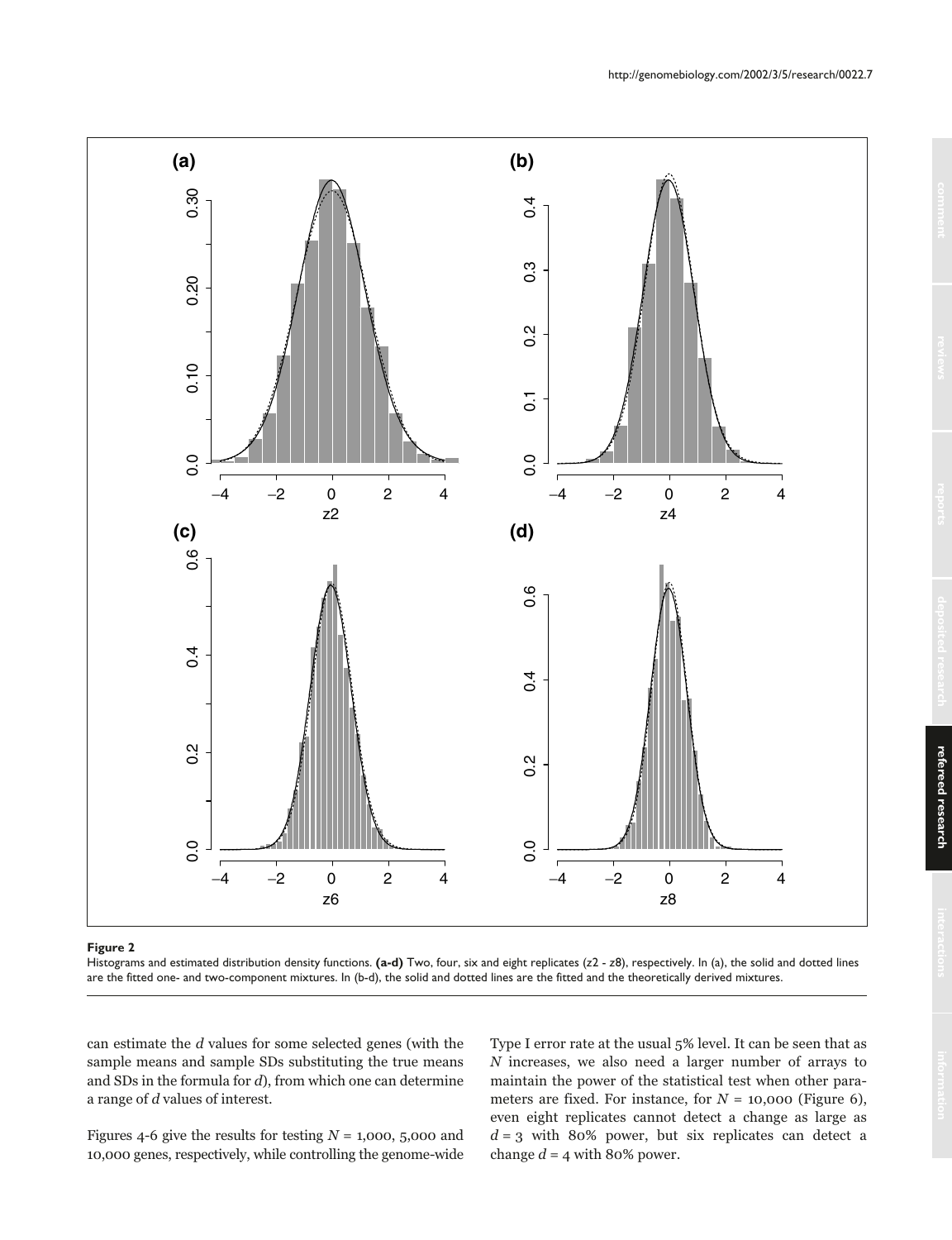

Histograms and estimated distribution density functions. **(a-d)** Two, four, six and eight replicates (*z*2 - *z*8), respectively. In (a), the solid and dotted lines are the fitted one- and two-component mixtures. In (b-d), the solid and dotted lines are the fitted and the theoretically derived mixtures.

can estimate the d values for some selected genes (with the sample means and sample SDs substituting the true means and SDs in the formula for d), from which one can determine a range of d values of interest.

Figures 4-6 give the results for testing  $N = 1,000, 5,000$  and 10,000 genes, respectively, while controlling the genome-wide

Type I error rate at the usual 5% level. It can be seen that as N increases, we also need a larger number of arrays to maintain the power of the statistical test when other parameters are fixed. For instance, for  $N = 10,000$  (Figure 6), even eight replicates cannot detect a change as large as  $d = 3$  with 80% power, but six replicates can detect a change  $d = 4$  with 80% power.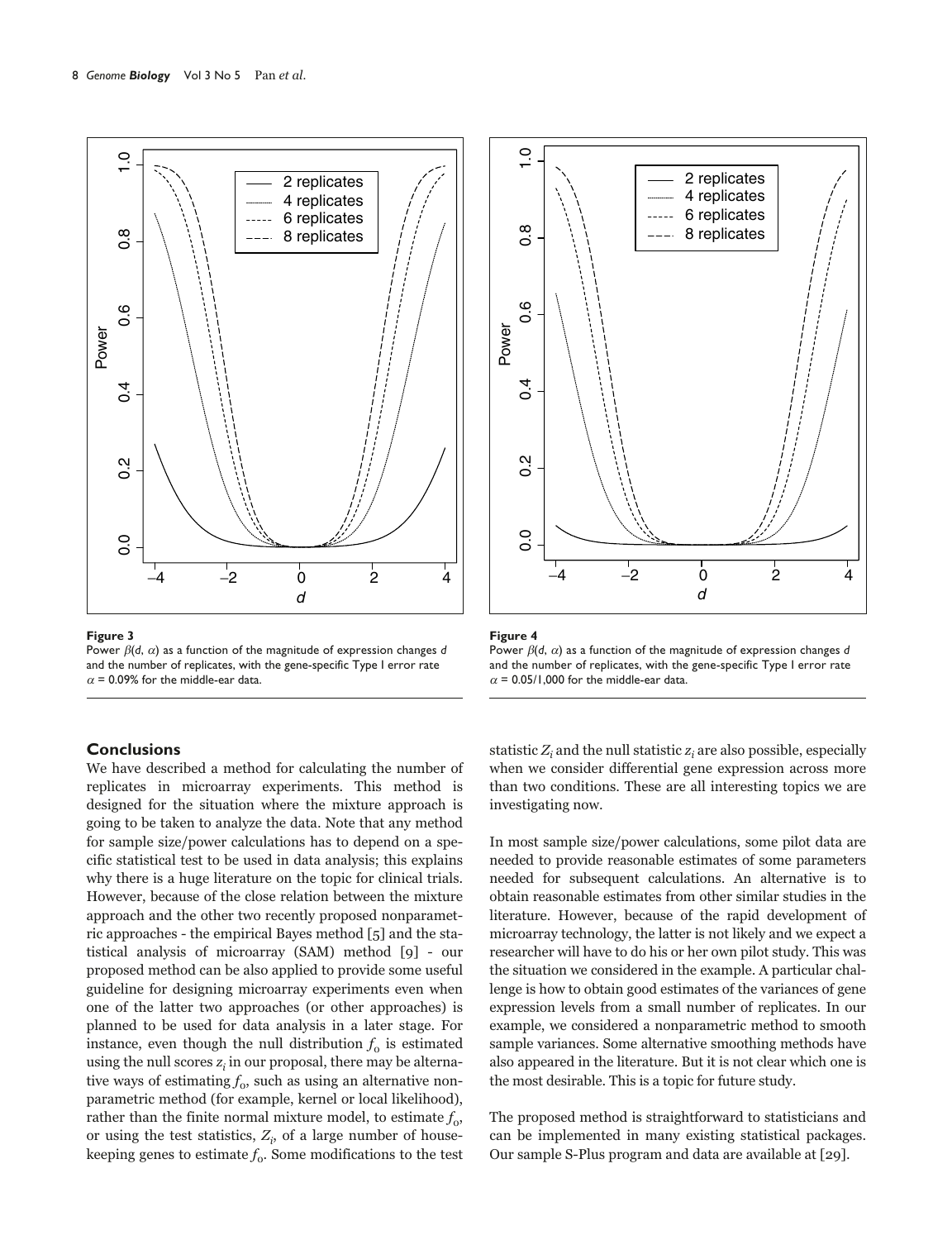

Power  $\beta$ (d,  $\alpha$ ) as a function of the magnitude of expression changes  $d$ and the number of replicates, with the gene-specific Type I error rate  $\alpha$  = 0.09% for the middle-ear data.

# **Conclusions**

We have described a method for calculating the number of replicates in microarray experiments. This method is designed for the situation where the mixture approach is going to be taken to analyze the data. Note that any method for sample size/power calculations has to depend on a specific statistical test to be used in data analysis; this explains why there is a huge literature on the topic for clinical trials. However, because of the close relation between the mixture approach and the other two recently proposed nonparametric approaches - the empirical Bayes method [5] and the statistical analysis of microarray (SAM) method [9] - our proposed method can be also applied to provide some useful guideline for designing microarray experiments even when one of the latter two approaches (or other approaches) is planned to be used for data analysis in a later stage. For instance, even though the null distribution  $f_0$  is estimated using the null scores  $z_i$  in our proposal, there may be alternative ways of estimating  $f_0$ , such as using an alternative nonparametric method (for example, kernel or local likelihood), rather than the finite normal mixture model, to estimate  $f_0$ , or using the test statistics,  $Z_i$ , of a large number of housekeeping genes to estimate  $f_0$ . Some modifications to the test





statistic  $Z_i$  and the null statistic  $z_i$  are also possible, especially when we consider differential gene expression across more than two conditions. These are all interesting topics we are investigating now.

In most sample size/power calculations, some pilot data are needed to provide reasonable estimates of some parameters needed for subsequent calculations. An alternative is to obtain reasonable estimates from other similar studies in the literature. However, because of the rapid development of microarray technology, the latter is not likely and we expect a researcher will have to do his or her own pilot study. This was the situation we considered in the example. A particular challenge is how to obtain good estimates of the variances of gene expression levels from a small number of replicates. In our example, we considered a nonparametric method to smooth sample variances. Some alternative smoothing methods have also appeared in the literature. But it is not clear which one is the most desirable. This is a topic for future study.

The proposed method is straightforward to statisticians and can be implemented in many existing statistical packages. Our sample S-Plus program and data are available at [29].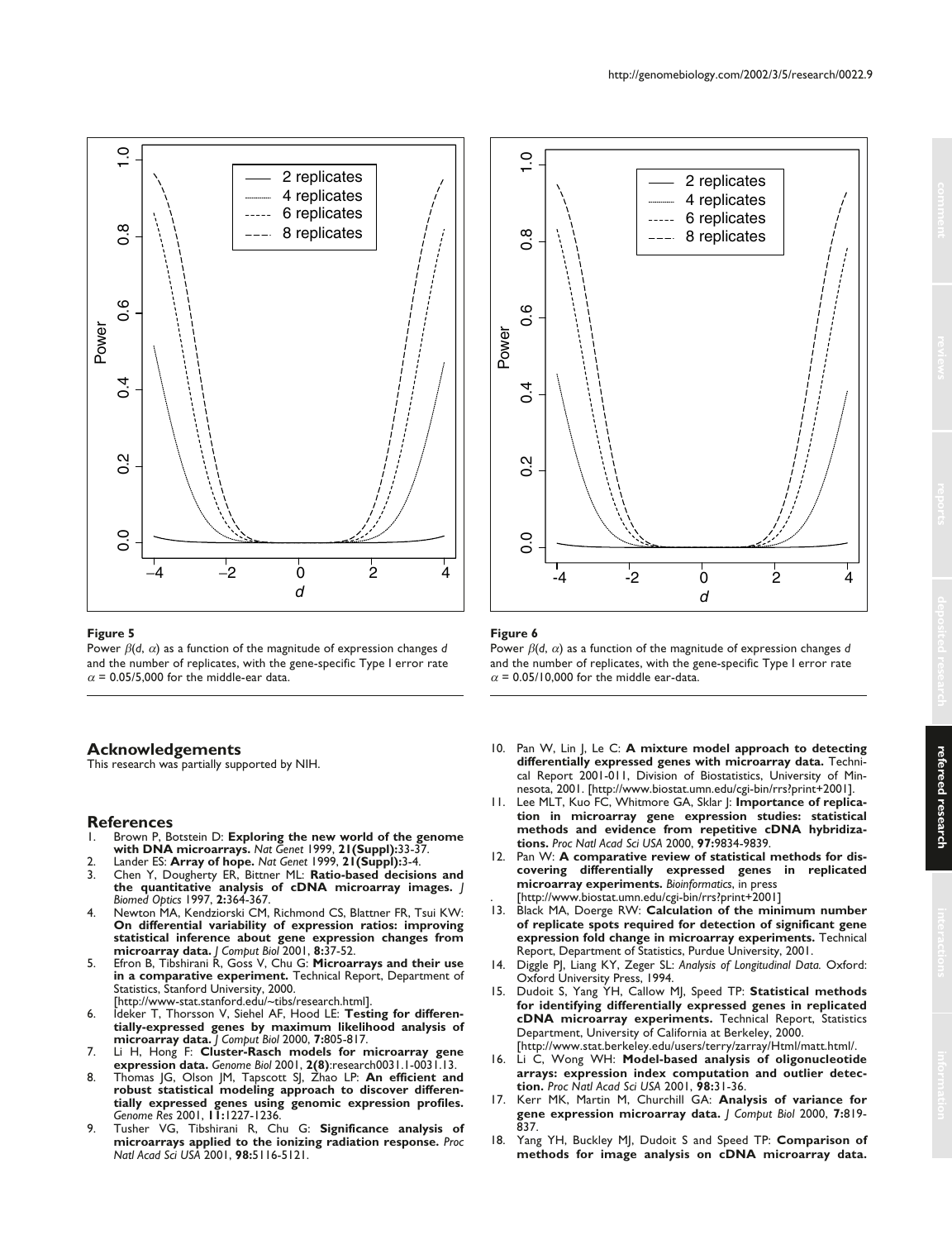

Power  $\beta$ (d,  $\alpha$ ) as a function of the magnitude of expression changes  $d$ and the number of replicates, with the gene-specific Type I error rate  $\alpha$  = 0.05/5,000 for the middle-ear data.

## **Acknowledgements**

This research was partially supported by NIH.

# **References**

- 1. Brown P, Botstein D: **Exploring the new world of the genome with DNA microarrays.** *Nat Genet* 1999, **21(Suppl):**33-37.
- 2. Lander ES: **Array of hope.** *Nat Genet* 1999, **21(Suppl):**3-4.
- 3. Chen Y, Dougherty ER, Bittner ML: **Ratio-based decisions and the quantitative analysis of cDNA microarray images.** *J Biomed Optics* 1997, **2:**364-367.
- 4. Newton MA, Kendziorski CM, Richmond CS, Blattner FR, Tsui KW: **On differential variability of expression ratios: improving statistical inference about gene expression changes from microarray data.** *J Comput Biol* 2001, **8:**37-52.
- 5. Efron B, Tibshirani R, Goss V, Chu G: **Microarrays and their use in a comparative experiment.** Technical Report, Department of Statistics, Stanford University, 2000. [http://www-stat.stanford.edu/~tibs/research.html].
- 6. Ideker T, Thorsson V, Siehel AF, Hood LE: **Testing for differentially-expressed genes by maximum likelihood analysis of microarray data.** *J Comput Biol* 2000, **7:**805-817.
- 7. Li H, Hong F: **Cluster-Rasch models for microarray gene expression data.** *Genome Biol* 2001, **2(8)**:research0031.1-0031.13.
- 8. Thomas JG, Olson JM, Tapscott SJ, Zhao LP: **An efficient and robust statistical modeling approach to discover differentially expressed genes using genomic expression profiles.** *Genome Res* 2001, **11:**1227-1236.
- 9. Tusher VG, Tibshirani R, Chu G: **Significance analysis of microarrays applied to the ionizing radiation response.** *Proc Natl Acad Sci USA* 2001, **98:**5116-5121.



# **Figure 6**

Power  $\beta$ (d,  $\alpha$ ) as a function of the magnitude of expression changes  $d$ and the number of replicates, with the gene-specific Type I error rate  $\alpha$  = 0.05/10,000 for the middle ear-data.

- 10. Pan W, Lin J, Le C: **A mixture model approach to detecting differentially expressed genes with microarray data.** Technical Report 2001-011, Division of Biostatistics, University of Minnesota, 2001. [http://www.biostat.umn.edu/cgi-bin/rrs?print+2001].
- 11. Lee MLT, Kuo FC, Whitmore GA, Sklar J: **Importance of replication in microarray gene expression studies: statistical methods and evidence from repetitive cDNA hybridizations.** *Proc Natl Acad Sci USA* 2000, **97:**9834-9839.
- 12. Pan W: **A comparative review of statistical methods for discovering differentially expressed genes in replicated microarray experiments.** *Bioinformatics*, in press . [http://www.biostat.umn.edu/cgi-bin/rrs?print+2001]
- 13. Black MA, Doerge RW: **Calculation of the minimum number of replicate spots required for detection of significant gene expression fold change in microarray experiments.** Technical Report, Department of Statistics, Purdue University, 2001.
- 14. Diggle PJ, Liang KY, Zeger SL: *Analysis of Longitudinal Data.* Oxford: Oxford University Press, 1994.
- 15. Dudoit S, Yang YH, Callow MJ, Speed TP: **Statistical methods for identifying differentially expressed genes in replicated cDNA microarray experiments.** Technical Report, Statistics Department, University of California at Berkeley, 2000. [http://www.stat.berkeley.edu/users/terry/zarray/Html/matt.html/.
- 16. Li C, Wong WH: **Model-based analysis of oligonucleotide arrays: expression index computation and outlier detection.** *Proc Natl Acad Sci USA* 2001, **98:**31-36.
- 17. Kerr MK, Martin M, Churchill GA: **Analysis of variance for gene expression microarray data.** *J Comput Biol* 2000, **7:**819- 837.
- 18. Yang YH, Buckley MJ, Dudoit S and Speed TP: **Comparison of methods for image analysis on cDNA microarray data.**